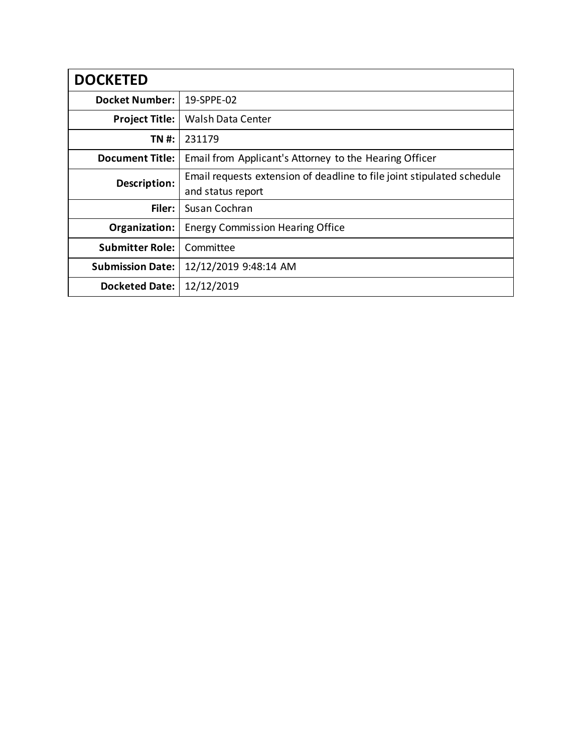| <b>DOCKETED</b>         |                                                                        |
|-------------------------|------------------------------------------------------------------------|
| <b>Docket Number:</b>   | 19-SPPE-02                                                             |
| <b>Project Title:</b>   | Walsh Data Center                                                      |
| TN #:                   | 231179                                                                 |
| <b>Document Title:</b>  | Email from Applicant's Attorney to the Hearing Officer                 |
| Description:            | Email requests extension of deadline to file joint stipulated schedule |
|                         | and status report                                                      |
| Filer:                  | Susan Cochran                                                          |
| Organization:           | <b>Energy Commission Hearing Office</b>                                |
| <b>Submitter Role:</b>  | Committee                                                              |
| <b>Submission Date:</b> | 12/12/2019 9:48:14 AM                                                  |
| <b>Docketed Date:</b>   | 12/12/2019                                                             |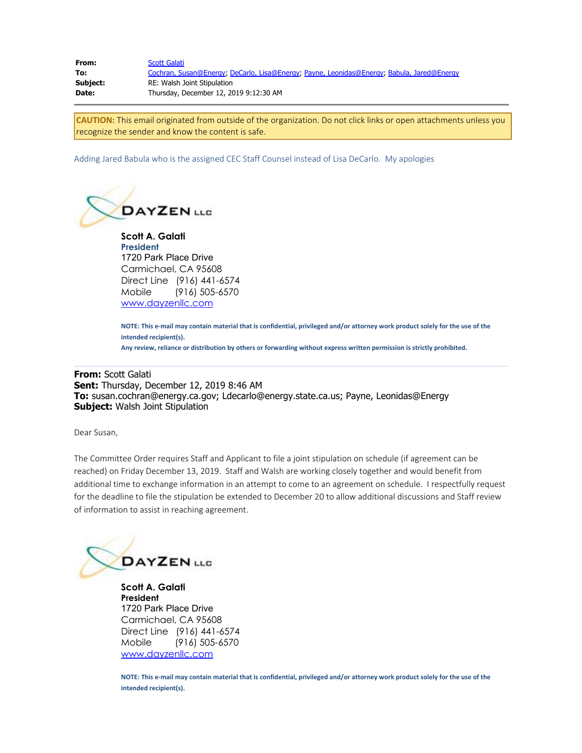| From:    | <b>Scott Galati</b>                                                                       |
|----------|-------------------------------------------------------------------------------------------|
| To:      | Cochran, Susan@Energy; DeCarlo, Lisa@Energy; Payne, Leonidas@Energy; Babula, Jared@Energy |
| Subject: | RE: Walsh Joint Stipulation                                                               |
| Date:    | Thursday, December 12, 2019 9:12:30 AM                                                    |

**CAUTION:** This email originated from outside of the organization. Do not click links or open attachments unless you recognize the sender and know the content is safe.

Adding Jared Babula who is the assigned CEC Staff Counsel instead of Lisa DeCarlo. My apologies



**Scott A. Galati President** 1720 Park Place Drive Carmichael, CA 95608 Direct Line (916) 441-6574 Mobile (916) 505-6570 [www.dayzenllc.com](https://gcc01.safelinks.protection.outlook.com/?url=http%3A%2F%2Fwww.dayzenllc.com%2F&data=01%7C01%7C%7C09f4725ed127468034e208d77f267716%7Cac3a124413f44ef68d1bbaa27148194e%7C0&sdata=rSZl3yW8S0EaikTdBF2%2F9G%2BbhTpBzffx6dwZO5LKnaU%3D&reserved=0)

**NOTE: This e-mail may contain material that is confidential, privileged and/or attorney work product solely for the use of the intended recipient(s).**

**Any review, reliance or distribution by others or forwarding without express written permission is strictly prohibited.**

## **From:** Scott Galati **Sent:** Thursday, December 12, 2019 8:46 AM **To:** susan.cochran@energy.ca.gov; Ldecarlo@energy.state.ca.us; Payne, Leonidas@Energy **Subject:** Walsh Joint Stipulation

Dear Susan,

The Committee Order requires Staff and Applicant to file a joint stipulation on schedule (if agreement can be reached) on Friday December 13, 2019. Staff and Walsh are working closely together and would benefit from additional time to exchange information in an attempt to come to an agreement on schedule. I respectfully request for the deadline to file the stipulation be extended to December 20 to allow additional discussions and Staff review of information to assist in reaching agreement.



**Scott A. Galati President** 1720 Park Place Drive Carmichael, CA 95608 Direct Line (916) 441-6574 Mobile (916) 505-6570 [www.dayzenllc.com](https://gcc01.safelinks.protection.outlook.com/?url=http%3A%2F%2Fwww.dayzenllc.com%2F&data=01%7C01%7C%7C09f4725ed127468034e208d77f267716%7Cac3a124413f44ef68d1bbaa27148194e%7C0&sdata=rSZl3yW8S0EaikTdBF2%2F9G%2BbhTpBzffx6dwZO5LKnaU%3D&reserved=0)

**NOTE: This e-mail may contain material that is confidential, privileged and/or attorney work product solely for the use of the intended recipient(s).**